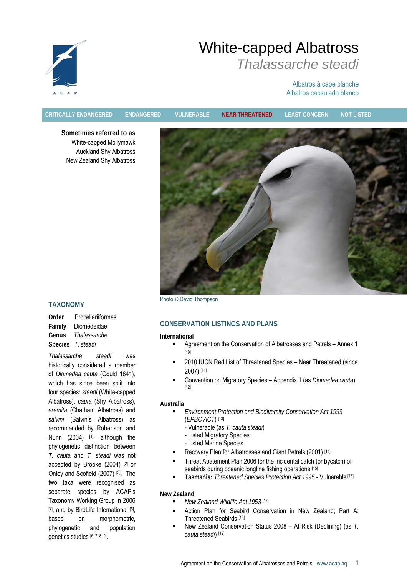

# White-capped Albatross *Thalassarche steadi*

## Albatros à cape blanche Albatros capsulado blanco

**CRITICALLY ENDANGERED ENDANGERED VULNERABLE NEAR THREATENED LEAST CONCERN NOT LISTED**

**Sometimes referred to as**  White-capped Mollymawk Auckland Shy Albatross New Zealand Shy Albatross



Photo © David Thompson

## **CONSERVATION LISTINGS AND PLANS**

#### **International**

- Agreement on the Conservation of Albatrosses and Petrels Annex 1 [10]
- 2010 IUCN Red List of Threatened Species Near Threatened (since 2007) [11]
- Convention on Migratory Species Appendix II (as *Diomedea cauta*) [12]

#### **Australia**

- *Environment Protection and Biodiversity Conservation Act 1999*  (*EPBC ACT*) [13]
	- Vulnerable (as *T. cauta steadi*)
	- Listed Migratory Species
	- Listed Marine Species
- Recovery Plan for Albatrosses and Giant Petrels (2001) [14]
- Threat Abatement Plan 2006 for the incidental catch (or bycatch) of seabirds during oceanic longline fishing operations [15]
	- **Tasmania:** *Threatened Species Protection Act 1995* Vulnerable [16]

#### **New Zealand**

- *New Zealand Wildlife Act 1953* [17]
	- Action Plan for Seabird Conservation in New Zealand; Part A: Threatened Seabirds [18]
	- New Zealand Conservation Status 2008 At Risk (Declining) (as *T. cauta steadi*) [19]

## **TAXONOMY**

**Order** Procellariiformes **Family** Diomedeidae **Genus** *Thalassarche*  **Species** *T. steadi* 

*Thalassarche steadi* was historically considered a member of *Diomedea cauta* (Gould 1841), which has since been split into four species: *steadi* (White-capped Albatross), *cauta* (Shy Albatross), *eremita* (Chatham Albatross) and *salvini* (Salvin's Albatross) as recommended by Robertson and Nunn (2004) <sup>[1]</sup>, although the phylogenetic distinction between *T. cauta* and *T. steadi* was not accepted by Brooke (2004) [2] or Onley and Scofield (2007) [3]. The two taxa were recognised as separate species by ACAP's Taxonomy Working Group in 2006 [4], and by BirdLife International [5], based on morphometric, phylogenetic and population genetics studies [6, 7, 8, 9].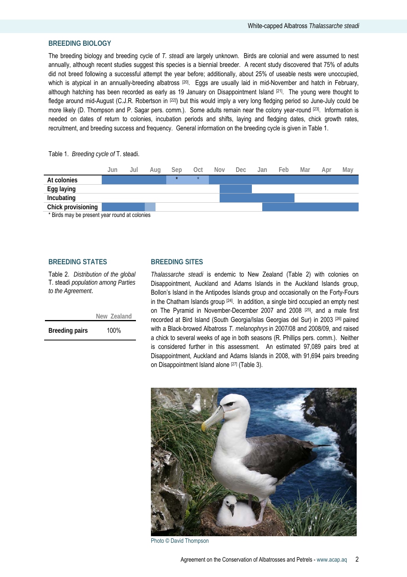## **BREEDING BIOLOGY**

The breeding biology and breeding cycle of *T. steadi* are largely unknown. Birds are colonial and were assumed to nest annually, although recent studies suggest this species is a biennial breeder. A recent study discovered that 75% of adults did not breed following a successful attempt the year before; additionally, about 25% of useable nests were unoccupied, which is atypical in an annually-breeding albatross [20]. Eggs are usually laid in mid-November and hatch in February, although hatching has been recorded as early as 19 January on Disappointment Island [21]. The young were thought to fledge around mid-August (C.J.R. Robertson in [22]) but this would imply a very long fledging period so June-July could be more likely (D. Thompson and P. Sagar pers. comm.). Some adults remain near the colony year-round [23]. Information is needed on dates of return to colonies, incubation periods and shifts, laying and fledging dates, chick growth rates, recruitment, and breeding success and frequency. General information on the breeding cycle is given in Table 1.

Table 1. *Breeding cycle of* T. steadi.



## **BREEDING STATES**

Table 2. *Distribution of the global*  T. steadi *population among Parties to the Agreement*.

 **New Zealand** 

**Breeding pairs** 100%

## **BREEDING SITES**

*Thalassarche steadi* is endemic to New Zealand (Table 2) with colonies on Disappointment, Auckland and Adams Islands in the Auckland Islands group, Bollon's Island in the Antipodes Islands group and occasionally on the Forty-Fours in the Chatham Islands group  $[24]$ . In addition, a single bird occupied an empty nest on The Pyramid in November-December 2007 and 2008 [25], and a male first recorded at Bird Island (South Georgia/Islas Georgias del Sur) in 2003 [26] paired with a Black-browed Albatross *T. melanophrys* in 2007/08 and 2008/09, and raised a chick to several weeks of age in both seasons (R. Phillips pers. comm.). Neither is considered further in this assessment. An estimated 97,089 pairs bred at Disappointment, Auckland and Adams Islands in 2008, with 91,694 pairs breeding on Disappointment Island alone [27] (Table 3).



Photo © David Thompson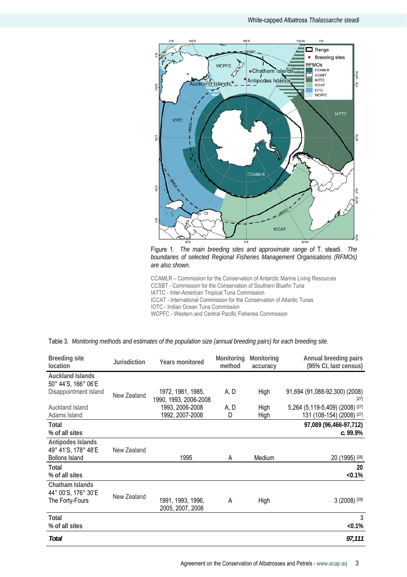

Figure 1. *The main breeding sites and approximate range of* T. steadi. *The boundaries of selected Regional Fisheries Management Organisations (RFMOs) are also shown.* 

CCAMLR – Commission for the Conservation of Antarctic Marine Living Resources CCSBT - Commission for the Conservation of Southern Bluefin Tuna IATTC - Inter-American Tropical Tuna Commission

ICCAT - International Commission for the Conservation of Atlantic Tunas

IOTC - Indian Ocean Tuna Commission

WCPFC - Western and Central Pacific Fisheries Commission

| <b>Breeding site</b><br>location                                  | <b>Jurisdiction</b> | <b>Years monitored</b>                     | Monitoring<br>method | Monitoring<br>accuracy | Annual breeding pairs<br>(95% CI, last census)               |
|-------------------------------------------------------------------|---------------------|--------------------------------------------|----------------------|------------------------|--------------------------------------------------------------|
| <b>Auckland Islands</b><br>50° 44'S, 166° 06'E                    |                     |                                            |                      |                        |                                                              |
| Disappointment Island                                             | New Zealand         | 1972, 1981, 1985,<br>1990, 1993, 2006-2008 | A, D                 | High                   | 91,694 (91,088-92,300) (2008)<br>$[27]$                      |
| Auckland Island<br>Adams Island                                   |                     | 1993, 2006-2008<br>1992, 2007-2008         | A, D<br>D            | High<br>High           | 5,264 (5,119-5,409) (2008) [27]<br>131 (108-154) (2008) [27] |
| Total<br>% of all sites                                           |                     |                                            |                      |                        | 97,089 (96,466-97,712)<br>c.99.9%                            |
| Antipodes Islands<br>49° 41'S, 178° 48'E<br><b>Bollons Island</b> | New Zealand         | 1995                                       | A                    | Medium                 | 20 (1995) [28]                                               |
| Total<br>% of all sites                                           |                     |                                            |                      |                        | 20<br>$< 0.1\%$                                              |
| Chatham Islands<br>44° 00'S, 176° 30'E<br>The Forty-Fours         | New Zealand         | 1991, 1993, 1996,<br>2005, 2007, 2008      | A                    | High                   | 3 (2008) [29]                                                |
| Total<br>% of all sites                                           |                     |                                            |                      |                        | 3<br>$< 0.1\%$                                               |
| Total                                                             |                     |                                            |                      |                        | 97,111                                                       |

Table 3*. Monitoring methods and estimates of the population size (annual breeding pairs) for each breeding site.*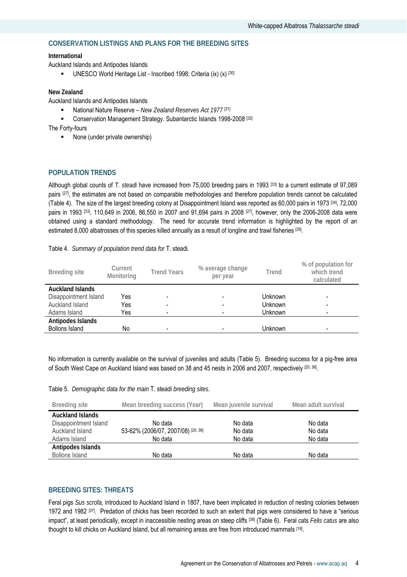## **CONSERVATION LISTINGS AND PLANS FOR THE BREEDING SITES**

#### **International**

Auckland Islands and Antipodes Islands

UNESCO World Heritage List - Inscribed 1998; Criteria (ix)  $(x)$  [30]

#### **New Zealand**

Auckland Islands and Antipodes Islands

- National Nature Reserve New Zealand Reserves Act 1977<sup>[31]</sup>
- Conservation Management Strategy. Subantarctic Islands 1998-2008<sup>[32]</sup>

The Forty-fours

■ None (under private ownership)

## **POPULATION TRENDS**

Although global counts of *T. steadi* have increased from 75,000 breeding pairs in 1993 [33] to a current estimate of 97,089 pairs [27], the estimates are not based on comparable methodologies and therefore population trends cannot be calculated (Table 4). The size of the largest breeding colony at Disappointment Island was reported as 60,000 pairs in 1973 [34], 72,000 pairs in 1993 <sup>[33]</sup>, 110,649 in 2006, 86,550 in 2007 and 91,694 pairs in 2008 <sup>[27]</sup>, however, only the 2006-2008 data were obtained using a standard methodology. The need for accurate trend information is highlighted by the report of an estimated 8,000 albatrosses of this species killed annually as a result of longline and trawl fisheries [35].

|  |  |  |  |  |  | Table 4. Summary of population trend data for T. steadi. |
|--|--|--|--|--|--|----------------------------------------------------------|
|--|--|--|--|--|--|----------------------------------------------------------|

| Breeding site           | Current<br>Monitoring | <b>Trend Years</b> | % average change<br>per year | Trend   | % of population for<br>which trend<br>calculated |
|-------------------------|-----------------------|--------------------|------------------------------|---------|--------------------------------------------------|
| <b>Auckland Islands</b> |                       |                    |                              |         |                                                  |
| Disappointment Island   | Yes                   |                    |                              | Unknown |                                                  |
| Auckland Island         | Yes                   |                    |                              | Unknown |                                                  |
| Adams Island            | Yes                   |                    |                              | Unknown |                                                  |
| Antipodes Islands       |                       |                    |                              |         |                                                  |
| <b>Bollons Island</b>   | No                    | -                  |                              | Unknown | $\overline{\phantom{0}}$                         |

No information is currently available on the survival of juveniles and adults (Table 5). Breeding success for a pig-free area of South West Cape on Auckland Island was based on 38 and 45 nests in 2006 and 2007, respectively [20, 36].

Table 5. *Demographic data for the main* T. steadi *breeding sites.* 

| Breeding site                                                                       | Mean breeding success (Year)                             | Mean juvenile survival        | Mean adult survival           |
|-------------------------------------------------------------------------------------|----------------------------------------------------------|-------------------------------|-------------------------------|
| <b>Auckland Islands</b><br>Disappointment Island<br>Auckland Island<br>Adams Island | No data<br>53-62% (2006/07, 2007/08) [20, 36]<br>No data | No data<br>No data<br>No data | No data<br>No data<br>No data |
| Antipodes Islands<br><b>Bollons Island</b>                                          | No data                                                  | No data                       | No data                       |

## **BREEDING SITES: THREATS**

Feral pigs *Sus scrofa,* introduced to Auckland Island in 1807, have been implicated in reduction of nesting colonies between 1972 and 1982  $[37]$ . Predation of chicks has been recorded to such an extent that pigs were considered to have a "serious impact", at least periodically, except in inaccessible nesting areas on steep cliffs [38] (Table 6). Feral cats *Felis catus* are also thought to kill chicks on Auckland Island, but all remaining areas are free from introduced mammals [18].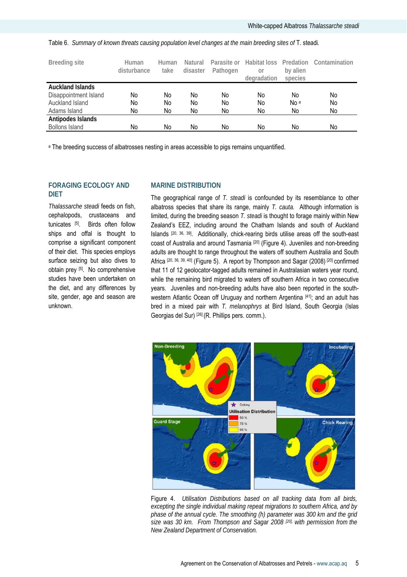**Breeding site Human disturbance Human take Natural disaster**  Parasite or Habitat loss Predation Contamination **Pathogen or degradation by alien species Auckland Islands**  Disappointment Island Auckland Island Adams Island No No No No No No No No No No No No No No No No No a No No No No **Antipodes Islands**  Bollons Island No No No No No No No

Table 6. *Summary of known threats causing population level changes at the main breeding sites of* T. steadi*.* 

<sup>a</sup> The breeding success of albatrosses nesting in areas accessible to pigs remains unquantified.

## **FORAGING ECOLOGY AND DIET**

*Thalassarche steadi* feeds on fish, cephalopods, crustaceans and tunicates [5]. Birds often follow ships and offal is thought to comprise a significant component of their diet. This species employs surface seizing but also dives to obtain prey [5]. No comprehensive studies have been undertaken on the diet, and any differences by site, gender, age and season are unknown.

## **MARINE DISTRIBUTION**

The geographical range of *T. steadi* is confounded by its resemblance to other albatross species that share its range, mainly *T. cauta.* Although information is limited, during the breeding season *T. steadi* is thought to forage mainly within New Zealand's EEZ, including around the Chatham Islands and south of Auckland Islands [20, 36, 39]. Additionally, chick-rearing birds utilise areas off the south-east coast of Australia and around Tasmania [20] (Figure 4). Juveniles and non-breeding adults are thought to range throughout the waters off southern Australia and South Africa [20, 36, 39, 40] (Figure 5). A report by Thompson and Sagar (2008) [20] confirmed that 11 of 12 geolocator-tagged adults remained in Australasian waters year round, while the remaining bird migrated to waters off southern Africa in two consecutive years. Juveniles and non-breeding adults have also been reported in the southwestern Atlantic Ocean off Uruguay and northern Argentina [41]; and an adult has bred in a mixed pair with *T. melanophrys* at Bird Island, South Georgia (Islas Georgias del Sur) [26] (R. Phillips pers. comm.).



Figure 4. *Utilisation Distributions based on all tracking data from all birds, excepting the single individual making repeat migrations to southern Africa, and by phase of the annual cycle. The smoothing (h) parameter was 300 km and the grid size was 30 km. From Thompson and Sagar 2008 [20], with permission from the New Zealand Department of Conservation.*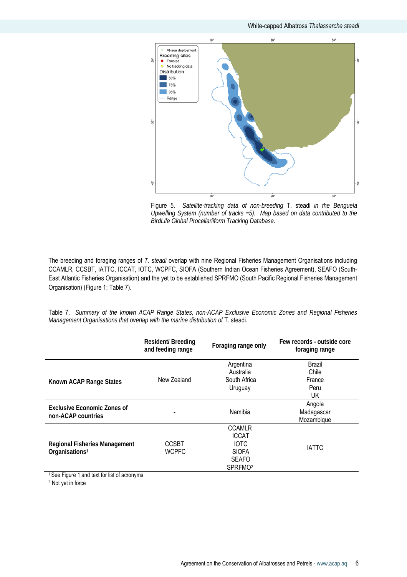

Figure 5. *Satellite-tracking data of non-breeding* T. steadi *in the Benguela Upwelling System (number of tracks =5). Map based on data contributed to the BirdLife Global Procellariiform Tracking Database.* 

The breeding and foraging ranges of *T. steadi* overlap with nine Regional Fisheries Management Organisations including CCAMLR, CCSBT, IATTC, ICCAT, IOTC, WCPFC, SIOFA (Southern Indian Ocean Fisheries Agreement), SEAFO (South-East Atlantic Fisheries Organisation) and the yet to be established SPRFMO (South Pacific Regional Fisheries Management Organisation) (Figure 1; Table 7).

Table 7. *Summary of the known ACAP Range States, non-ACAP Exclusive Economic Zones and Regional Fisheries Management Organisations that overlap with the marine distribution of* T. steadi.

|                                      | <b>Resident/ Breeding</b><br>and feeding range | Foraging range only | Few records - outside core<br>foraging range |  |
|--------------------------------------|------------------------------------------------|---------------------|----------------------------------------------|--|
|                                      |                                                | Argentina           | <b>Brazil</b>                                |  |
|                                      |                                                | Australia           | Chile                                        |  |
| Known ACAP Range States              | New Zealand                                    | South Africa        | France                                       |  |
|                                      |                                                | Uruguay             | Peru                                         |  |
|                                      |                                                |                     | UK                                           |  |
| <b>Exclusive Economic Zones of</b>   |                                                |                     | Angola                                       |  |
|                                      |                                                | Namibia             | Madagascar                                   |  |
| non-ACAP countries                   |                                                |                     | Mozambique                                   |  |
|                                      |                                                | <b>CCAMLR</b>       |                                              |  |
|                                      | <b>CCSBT</b>                                   | <b>ICCAT</b>        |                                              |  |
| <b>Regional Fisheries Management</b> |                                                | <b>IOTC</b>         |                                              |  |
| Organisations <sup>1</sup>           | <b>WCPFC</b>                                   | <b>SIOFA</b>        | <b>IATTC</b>                                 |  |
|                                      |                                                | <b>SEAFO</b>        |                                              |  |
|                                      |                                                | SPRFMO <sup>2</sup> |                                              |  |

<sup>1</sup> See Figure 1 and text for list of acronyms

2 Not yet in force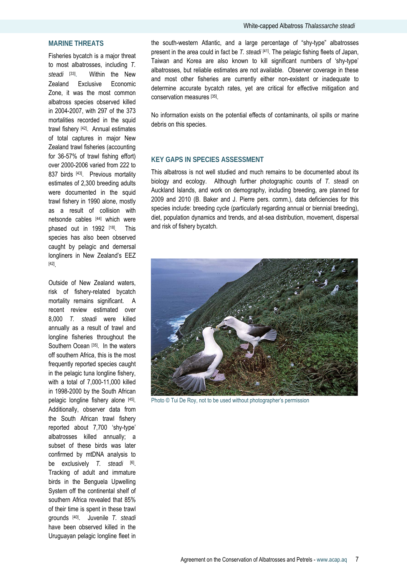## **MARINE THREATS**

Fisheries bycatch is a major threat to most albatrosses, including *T. steadi* [33]. Within the New Zealand Exclusive Economic Zone, it was the most common albatross species observed killed in 2004-2007, with 297 of the 373 mortalities recorded in the squid trawl fishery [42]. Annual estimates of total captures in major New Zealand trawl fisheries (accounting for 36-57% of trawl fishing effort) over 2000-2006 varied from 222 to 837 birds [43]. Previous mortality estimates of 2,300 breeding adults were documented in the squid trawl fishery in 1990 alone, mostly as a result of collision with netsonde cables [44] which were phased out in 1992 [18]. This species has also been observed caught by pelagic and demersal longliners in New Zealand's EEZ [42].

Outside of New Zealand waters, risk of fishery-related bycatch mortality remains significant. A recent review estimated over 8,000 *T. steadi* were killed annually as a result of trawl and longline fisheries throughout the Southern Ocean [35]. In the waters off southern Africa, this is the most frequently reported species caught in the pelagic tuna longline fishery, with a total of 7,000-11,000 killed in 1998-2000 by the South African pelagic longline fishery alone [45]. Additionally, observer data from the South African trawl fishery reported about 7,700 'shy-type' albatrosses killed annually; a subset of these birds was later confirmed by mtDNA analysis to be exclusively *T. steadi* [6]. Tracking of adult and immature birds in the Benguela Upwelling System off the continental shelf of southern Africa revealed that 85% of their time is spent in these trawl grounds [40]. Juvenile *T. steadi* have been observed killed in the Uruguayan pelagic longline fleet in

the south-western Atlantic, and a large percentage of "shy-type" albatrosses present in the area could in fact be *T. steadi* [41]. The pelagic fishing fleets of Japan, Taiwan and Korea are also known to kill significant numbers of 'shy-type' albatrosses, but reliable estimates are not available. Observer coverage in these and most other fisheries are currently either non-existent or inadequate to determine accurate bycatch rates, yet are critical for effective mitigation and conservation measures [35].

No information exists on the potential effects of contaminants, oil spills or marine debris on this species.

#### **KEY GAPS IN SPECIES ASSESSMENT**

This albatross is not well studied and much remains to be documented about its biology and ecology. Although further photographic counts of *T. steadi* on Auckland Islands, and work on demography, including breeding, are planned for 2009 and 2010 (B. Baker and J. Pierre pers. comm.), data deficiencies for this species include: breeding cycle (particularly regarding annual or biennial breeding), diet, population dynamics and trends, and at-sea distribution, movement, dispersal and risk of fishery bycatch.



Photo © Tui De Roy, not to be used without photographer's permission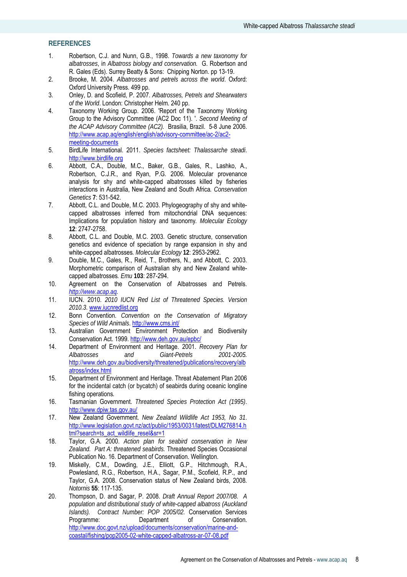## **REFERENCES**

- 1. Robertson, C.J. and Nunn, G.B., 1998. *Towards a new taxonomy for albatrosses*, in *Albatross biology and conservation.* G. Robertson and R. Gales (Eds). Surrey Beatty & Sons: Chipping Norton. pp 13-19.
- 2. Brooke, M. 2004. *Albatrosses and petrels across the world*. Oxford: Oxford University Press. 499 pp.
- 3. Onley, D. and Scofield, P. 2007. *Albatrosses, Petrels and Shearwaters of the World*. London: Christopher Helm. 240 pp.
- 4. Taxonomy Working Group. 2006. 'Report of the Taxonomy Working Group to the Advisory Committee (AC2 Doc 11). '. *Second Meeting of the ACAP Advisory Committee (AC2).* Brasilia, Brazil. 5-8 June 2006. http://www.acap.aq/english/english/advisory-committee/ac-2/ac2 meeting-documents
- 5. BirdLife International. 2011. *Species factsheet: Thalassarche steadi*. http://www.birdlife.org
- 6. Abbott, C.A., Double, M.C., Baker, G.B., Gales, R., Lashko, A., Robertson, C.J.R., and Ryan, P.G. 2006. Molecular provenance analysis for shy and white-capped albatrosses killed by fisheries interactions in Australia, New Zealand and South Africa*. Conservation Genetics* **7**: 531-542.
- 7. Abbott, C.L. and Double, M.C. 2003. Phylogeography of shy and whitecapped albatrosses inferred from mitochondrial DNA sequences: Implications for population history and taxonomy*. Molecular Ecology* **12**: 2747-2758.
- 8. Abbott, C.L. and Double, M.C. 2003. Genetic structure, conservation genetics and evidence of speciation by range expansion in shy and white-capped albatrosses*. Molecular Ecology* **12**: 2953-2962.
- 9. Double, M.C., Gales, R., Reid, T., Brothers, N., and Abbott, C. 2003. Morphometric comparison of Australian shy and New Zealand whitecapped albatrosses*. Emu* **103**: 287-294.
- 10. Agreement on the Conservation of Albatrosses and Petrels. *http://www.acap.aq.*
- 11. IUCN. 2010. *2010 IUCN Red List of Threatened Species. Version 2010.3*. www.iucnredlist.org
- 12. Bonn Convention. *Convention on the Conservation of Migratory Species of Wild Animals*. http://www.cms.int/
- 13. Australian Government Environment Protection and Biodiversity Conservation Act. 1999. http://www.deh.gov.au/epbc/
- 14. Department of Environment and Heritage. 2001. *Recovery Plan for Albatrosses and Giant-Petrels 2001-2005.* http://www.deh.gov.au/biodiversity/threatened/publications/recovery/alb atross/index.html
- 15. Department of Environment and Heritage. Threat Abatement Plan 2006 for the incidental catch (or bycatch) of seabirds during oceanic longline fishing operations*.*
- 16. Tasmanian Government. *Threatened Species Protection Act (1995)*. http://www.dpiw.tas.gov.au/
- 17. New Zealand Government. *New Zealand Wildlife Act 1953, No 31*. http://www.legislation.govt.nz/act/public/1953/0031/latest/DLM276814.h tml?search=ts\_act\_wildlife\_resel&sr=1
- 18. Taylor, G.A. 2000. *Action plan for seabird conservation in New Zealand. Part A: threatened seabirds.* Threatened Species Occasional Publication No. 16. Department of Conservation. Wellington.
- 19. Miskelly, C.M., Dowding, J.E., Elliott, G.P., Hitchmough, R.A., Powlesland, R.G., Robertson, H.A., Sagar, P.M., Scofield, R.P., and Taylor, G.A. 2008. Conservation status of New Zealand birds, 2008*. Notornis* **55**: 117-135.
- 20. Thompson, D. and Sagar, P. 2008. *Draft Annual Report 2007/08. A population and distributional study of white-capped albatross (Auckland Islands). Contract Number: POP 2005/02.* Conservation Services Programme: Department of Conservation. http://www.doc.govt.nz/upload/documents/conservation/marine-andcoastal/fishing/pop2005-02-white-capped-albatross-ar-07-08.pdf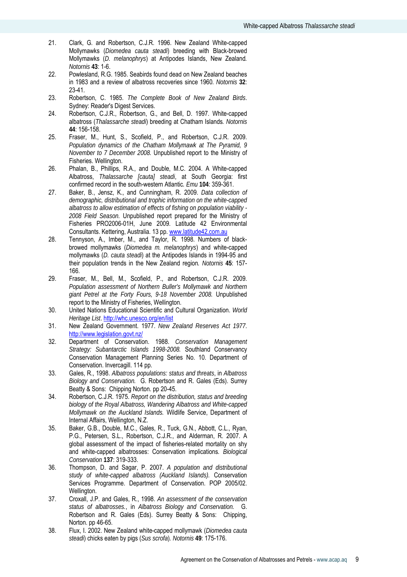- 21. Clark, G. and Robertson, C.J.R. 1996. New Zealand White-capped Mollymawks (*Diomedea cauta steadi*) breeding with Black-browed Mollymawks (*D. melanophrys*) at Antipodes Islands, New Zealand*. Notornis* **43**: 1-6.
- 22. Powlesland, R.G. 1985. Seabirds found dead on New Zealand beaches in 1983 and a review of albatross recoveries since 1960*. Notornis* **32**: 23-41.
- 23. Robertson, C. 1985. *The Complete Book of New Zealand Birds*. Sydney: Reader's Digest Services.
- 24. Robertson, C.J.R., Robertson, G., and Bell, D. 1997. White-capped albatross (*Thalassarche steadi*) breeding at Chatham Islands*. Notornis* **44**: 156-158.
- 25. Fraser, M., Hunt, S., Scofield, P., and Robertson, C.J.R. 2009. *Population dynamics of the Chatham Mollymawk at The Pyramid, 9 November to 7 December 2008.* Unpublished report to the Ministry of Fisheries. Wellington.
- 26. Phalan, B., Phillips, R.A., and Double, M.C. 2004. A White-capped Albatross, *Thalassarche [cauta] steadi*, at South Georgia: first confirmed record in the south-western Atlantic*. Emu* **104**: 359-361.
- 27. Baker, B., Jensz, K., and Cunningham, R. 2009. *Data collection of demographic, distributional and trophic information on the white-capped albatross to allow estimation of effects of fishing on population viability - 2008 Field Season.* Unpublished report prepared for the Ministry of Fisheries PRO2006-01H, June 2009. Latitude 42 Environmental Consultants. Kettering, Australia. 13 pp. www.latitude42.com.au
- 28. Tennyson, A., Imber, M., and Taylor, R. 1998. Numbers of blackbrowed mollymawks (*Diomedea m. melanophrys*) and white-capped mollymawks (*D. cauta steadi*) at the Antipodes Islands in 1994-95 and their population trends in the New Zealand region*. Notornis* **45**: 157- 166.
- 29. Fraser, M., Bell, M., Scofield, P., and Robertson, C.J.R. 2009. *Population assessment of Northern Buller's Mollymawk and Northern giant Petrel at the Forty Fours, 9-18 November 2008.* Unpublished report to the Ministry of Fisheries, Wellington.
- 30. United Nations Educational Scientific and Cultural Organization. *World Heritage List*. http://whc.unesco.org/en/list
- 31. New Zealand Government. 1977. *New Zealand Reserves Act 1977*. http://www.legislation.govt.nz/
- 32. Department of Conservation. 1988. *Conservation Management Strategy: Subantarctic Islands 1998-2008.* Southland Conservancy Conservation Management Planning Series No. 10. Department of Conservation. Invercagill. 114 pp.
- 33. Gales, R., 1998. *Albatross populations: status and threats*, in *Albatross Biology and Conservation.* G. Robertson and R. Gales (Eds). Surrey Beatty & Sons: Chipping Norton. pp 20-45.
- 34. Robertson, C.J.R. 1975. *Report on the distribution, status and breeding biology of the Royal Albatross, Wandering Albatross and White-capped Mollymawk on the Auckland Islands.* Wildlife Service, Department of Internal Affairs, Wellington, N.Z.
- 35. Baker, G.B., Double, M.C., Gales, R., Tuck, G.N., Abbott, C.L., Ryan, P.G., Petersen, S.L., Robertson, C.J.R., and Alderman, R. 2007. A global assessment of the impact of fisheries-related mortality on shy and white-capped albatrosses: Conservation implications*. Biological Conservation* **137**: 319-333.
- 36. Thompson, D. and Sagar, P. 2007. *A population and distributional study of white-capped albatross (Auckland Islands).* Conservation Services Programme. Department of Conservation. POP 2005/02. Wellington.
- 37. Croxall, J.P. and Gales, R., 1998. *An assessment of the conservation status of albatrosses.*, in *Albatross Biology and Conservation.* G. Robertson and R. Gales (Eds). Surrey Beatty & Sons: Chipping, Norton. pp 46-65.
- 38. Flux, I. 2002. New Zealand white-capped mollymawk (*Diomedea cauta steadi*) chicks eaten by pigs (*Sus scrofa*)*. Notornis* **49**: 175-176.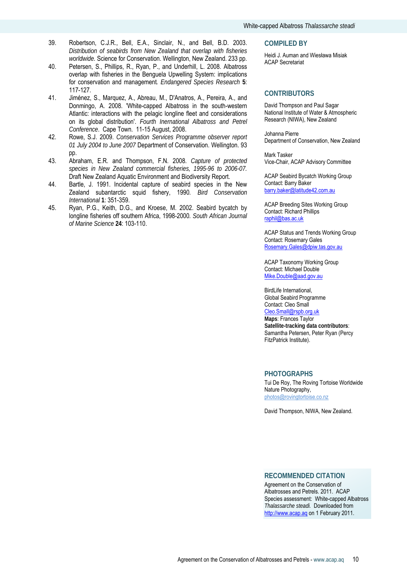- 39. Robertson, C.J.R., Bell, E.A., Sinclair, N., and Bell, B.D. 2003. *Distribution of seabirds from New Zealand that overlap with fisheries worldwide.* Science for Conservation. Wellington, New Zealand. 233 pp.
- 40. Petersen, S., Phillips, R., Ryan, P., and Underhill, L. 2008. Albatross overlap with fisheries in the Benguela Upwelling System: implications for conservation and management*. Endangered Species Research* **5**: 117-127.
- 41. Jiménez, S., Marquez, A., Abreau, M., D'Anatros, A., Pereira, A., and Donmingo, A. 2008. 'White-capped Albatross in the south-western Atlantic: interactions with the pelagic longline fleet and considerations on its global distribution'. *Fourth Inernational Albatross and Petrel Conference*. Cape Town. 11-15 August, 2008.
- 42. Rowe, S.J. 2009. *Conservation Services Programme observer report 01 July 2004 to June 2007* Department of Conservation. Wellington. 93 pp.
- 43. Abraham, E.R. and Thompson, F.N. 2008. *Capture of protected species in New Zealand commercial fisheries, 1995-96 to 2006-07.* Draft New Zealand Aquatic Environment and Biodiversity Report.
- 44. Bartle, J. 1991. Incidental capture of seabird species in the New Zealand subantarctic squid fishery, 1990*. Bird Conservation International* **1**: 351-359.
- 45. Ryan, P.G., Keith, D.G., and Kroese, M. 2002. Seabird bycatch by longline fisheries off southern Africa, 1998-2000*. South African Journal of Marine Science* **24**: 103-110.

#### **COMPILED BY**

Heidi J. Auman and Wiesława Misiak ACAP Secretariat

## **CONTRIBUTORS**

David Thompson and Paul Sagar National Institute of Water & Atmospheric Research (NIWA), New Zealand

Johanna Pierre Department of Conservation, New Zealand

Mark Tasker Vice-Chair, ACAP Advisory Committee

ACAP Seabird Bycatch Working Group Contact: Barry Baker barry.baker@latitude42.com.au

ACAP Breeding Sites Working Group Contact: Richard Phillips raphil@bas.ac.uk

ACAP Status and Trends Working Group Contact: Rosemary Gales Rosemary.Gales@dpiw.tas.gov.au

ACAP Taxonomy Working Group Contact: Michael Double Mike.Double@aad.gov.au

BirdLife International, Global Seabird Programme Contact: Cleo Small Cleo.Small@rspb.org.uk **Maps**: Frances Taylor **Satellite-tracking data contributors**: Samantha Petersen, Peter Ryan (Percy FitzPatrick Institute).

#### **PHOTOGRAPHS**

Tui De Roy, The Roving Tortoise Worldwide Nature Photography, photos@rovingtortoise.co.nz

David Thompson, NIWA, New Zealand.

## **RECOMMENDED CITATION**

Agreement on the Conservation of Albatrosses and Petrels. 2011. ACAP Species assessment: White-capped Albatross *Thalassarche steadi.* Downloaded from http://www.acap.aq on 1 February 2011.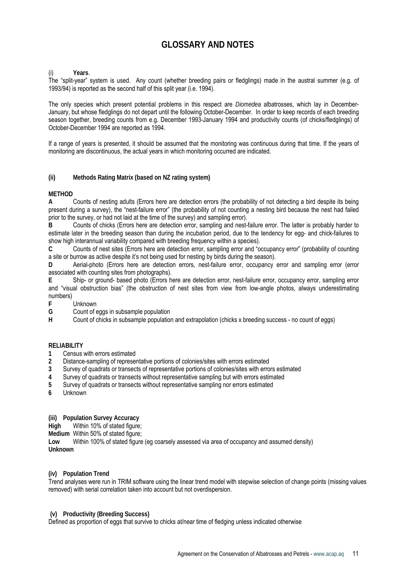## **GLOSSARY AND NOTES**

#### (i) **Years**.

The "split-year" system is used. Any count (whether breeding pairs or fledglings) made in the austral summer (e.g. of 1993/94) is reported as the second half of this split year (i.e. 1994).

The only species which present potential problems in this respect are *Diomedea* albatrosses, which lay in December-January, but whose fledglings do not depart until the following October-December. In order to keep records of each breeding season together, breeding counts from e.g. December 1993-January 1994 and productivity counts (of chicks/fledglings) of October-December 1994 are reported as 1994.

If a range of years is presented, it should be assumed that the monitoring was continuous during that time. If the years of monitoring are discontinuous, the actual years in which monitoring occurred are indicated.

## **(ii) Methods Rating Matrix (based on NZ rating system)**

## **METHOD**

**A** Counts of nesting adults (Errors here are detection errors (the probability of not detecting a bird despite its being present during a survey), the "nest-failure error" (the probability of not counting a nesting bird because the nest had failed prior to the survey, or had not laid at the time of the survey) and sampling error).

**B** Counts of chicks (Errors here are detection error, sampling and nest-failure error. The latter is probably harder to estimate later in the breeding season than during the incubation period, due to the tendency for egg- and chick-failures to show high interannual variability compared with breeding frequency within a species).

**C** Counts of nest sites (Errors here are detection error, sampling error and "occupancy error" (probability of counting a site or burrow as active despite it's not being used for nesting by birds during the season).

**D** Aerial-photo (Errors here are detection errors, nest-failure error, occupancy error and sampling error (error associated with counting sites from photographs).

**E** Ship- or ground- based photo (Errors here are detection error, nest-failure error, occupancy error, sampling error and "visual obstruction bias" (the obstruction of nest sites from view from low-angle photos, always underestimating numbers)

**F** Unknown<br>**G** Count of e

**G** Count of eggs in subsample population

**H** Count of chicks in subsample population and extrapolation (chicks x breeding success - no count of eggs)

## **RELIABILITY**

- **1** Census with errors estimated
- **2** Distance-sampling of representative portions of colonies/sites with errors estimated
- **3** Survey of quadrats or transects of representative portions of colonies/sites with errors estimated
- **4** Survey of quadrats or transects without representative sampling but with errors estimated
- **5** Survey of quadrats or transects without representative sampling nor errors estimated
- **6** Unknown
- **(iii) Population Survey Accuracy**
- **High** Within 10% of stated figure;
- **Medium** Within 50% of stated figure;

**Low** Within 100% of stated figure (eg coarsely assessed via area of occupancy and assumed density) **Unknown** 

#### **(iv) Population Trend**

Trend analyses were run in TRIM software using the linear trend model with stepwise selection of change points (missing values removed) with serial correlation taken into account but not overdispersion.

#### **(v) Productivity (Breeding Success)**

Defined as proportion of eggs that survive to chicks at/near time of fledging unless indicated otherwise